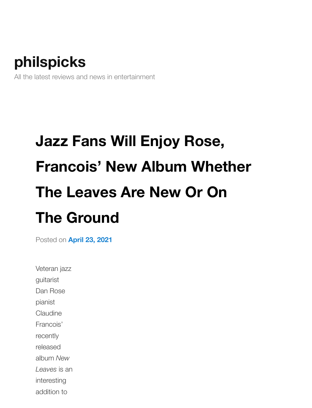## **[philspicks](https://philspicks.wordpress.com/)**

All the latest reviews and news in entertainment

## **Jazz Fans Will Enjoy Rose, Francois' New Album Whether The Leaves Are New Or On The [Ground](https://philspicks.wordpress.com/2021/04/23/jazz-fans-will-enjoy-rose-francois-new-album-whether-the-leaves-are-new-or-on-the-ground/)**

Posted on **April 23, 2021**

Veteran jazz guitarist Dan Rose pianist Claudine Francois' recently released album *New Leaves* is an interesting addition to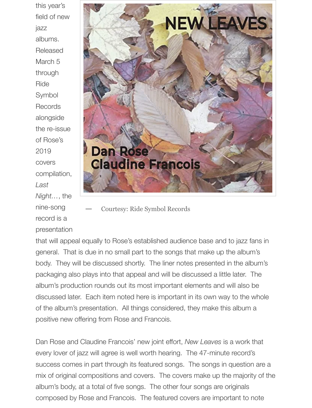this year's field of new jazz albums. Released March 5 through Ride Symbol **Records** alongside the re-issue of Rose's 2019 covers compilation, *Last Night…*, the nine-song record is a presentation



**—** Courtesy: Ride Symbol Records

that will appeal equally to Rose's established audience base and to jazz fans in general. That is due in no small part to the songs that make up the album's body. They will be discussed shortly. The liner notes presented in the album's packaging also plays into that appeal and will be discussed a little later. The album's production rounds out its most important elements and will also be discussed later. Each item noted here is important in its own way to the whole of the album's presentation. All things considered, they make this album a positive new offering from Rose and Francois.

Dan Rose and Claudine Francois' new joint effort, *New Leaves* is a work that every lover of jazz will agree is well worth hearing. The 47-minute record's success comes in part through its featured songs. The songs in question are a mix of original compositions and covers. The covers make up the majority of the album's body, at a total of five songs. The other four songs are originals composed by Rose and Francois. The featured covers are important to note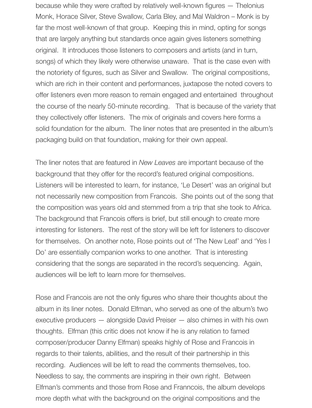because while they were crafted by relatively well-known figures — Thelonius Monk, Horace Silver, Steve Swallow, Carla Bley, and Mal Waldron – Monk is by far the most well-known of that group. Keeping this in mind, opting for songs that are largely anything but standards once again gives listeners something original. It introduces those listeners to composers and artists (and in turn, songs) of which they likely were otherwise unaware. That is the case even with the notoriety of figures, such as Silver and Swallow. The original compositions, which are rich in their content and performances, juxtapose the noted covers to offer listeners even more reason to remain engaged and entertained throughout the course of the nearly 50-minute recording. That is because of the variety that they collectively offer listeners. The mix of originals and covers here forms a solid foundation for the album. The liner notes that are presented in the album's packaging build on that foundation, making for their own appeal.

The liner notes that are featured in *New Leaves* are important because of the background that they offer for the record's featured original compositions. Listeners will be interested to learn, for instance, 'Le Desert' was an original but not necessarily new composition from Francois. She points out of the song that the composition was years old and stemmed from a trip that she took to Africa. The background that Francois offers is brief, but still enough to create more interesting for listeners. The rest of the story will be left for listeners to discover for themselves. On another note, Rose points out of 'The New Leaf' and 'Yes I Do' are essentially companion works to one another. That is interesting considering that the songs are separated in the record's sequencing. Again, audiences will be left to learn more for themselves.

Rose and Francois are not the only figures who share their thoughts about the album in its liner notes. Donald Elfman, who served as one of the album's two executive producers — alongside David Preiser — also chimes in with his own thoughts. Elfman (this critic does not know if he is any relation to famed composer/producer Danny Elfman) speaks highly of Rose and Francois in regards to their talents, abilities, and the result of their partnership in this recording. Audiences will be left to read the comments themselves, too. Needless to say, the comments are inspiring in their own right. Between Elfman's comments and those from Rose and Franncois, the album develops more depth what with the background on the original compositions and the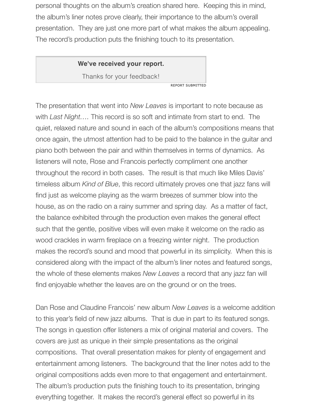personal thoughts on the album's creation shared here. Keeping this in mind, the album's liner notes prove clearly, their importance to the album's overall presentation. They are just one more part of what makes the album appealing. The record's production puts the finishing touch to its presentation.

## **We've received your report.**

Thanks for your feedback!

REPORT SUBMITTED

The presentation that went into *New Leaves* is important to note because as with *Last Night….* This record is so soft and intimate from start to end. The quiet, relaxed nature and sound in each of the album's compositions means that once again, the utmost attention had to be paid to the balance in the guitar and piano both between the pair and within themselves in terms of dynamics. As listeners will note, Rose and Francois perfectly compliment one another throughout the record in both cases. The result is that much like Miles Davis' timeless album *Kind of Blue*, this record ultimately proves one that jazz fans will find just as welcome playing as the warm breezes of summer blow into the house, as on the radio on a rainy summer and spring day. As a matter of fact, the balance exhibited through the production even makes the general effect such that the gentle, positive vibes will even make it welcome on the radio as wood crackles in warm fireplace on a freezing winter night. The production makes the record's sound and mood that powerful in its simplicity. When this is considered along with the impact of the album's liner notes and featured songs, the whole of these elements makes *New Leaves* a record that any jazz fan will find enjoyable whether the leaves are on the ground or on the trees.

Dan Rose and Claudine Francois' new album *New Leaves* is a welcome addition to this year's field of new jazz albums. That is due in part to its featured songs. The songs in question offer listeners a mix of original material and covers. The covers are just as unique in their simple presentations as the original compositions. That overall presentation makes for plenty of engagement and entertainment among listeners. The background that the liner notes add to the original compositions adds even more to that engagement and entertainment. The album's production puts the finishing touch to its presentation, bringing everything together. It makes the record's general effect so powerful in its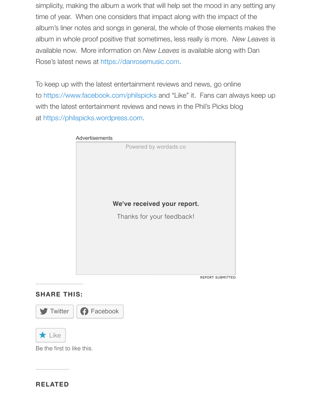simplicity, making the album a work that will help set the mood in any setting any time of year. When one considers that impact along with the impact of the album's liner notes and songs in general, the whole of those elements makes the album in whole proof positive that sometimes, less really is more. *New Leaves* is available now. More i[nformation on](https://danrosemusic.com/) *New Leaves* is available along with Dan Rose's latest news at https://danrosemusic.com.

To [keep up with the latest entertainment](https://www.facebook.com/philspicks) reviews and news, go online to https://www.facebook.com/philspicks and "Like" it. Fans can always keep up wi[th the latest entertainment reviews](https://philspicks.wordpress.com/) and news in the Phil's Picks blog at https://philspicks.wordpress.com.

| Advertisements              |                         |
|-----------------------------|-------------------------|
| Powered by wordads.co       |                         |
| We've received your report. |                         |
|                             |                         |
| Thanks for your feedback!   |                         |
|                             | <b>REPORT SUBMITTED</b> |

## **[SHARE THI](https://philspicks.wordpress.com/2021/04/23/jazz-fans-will-enjoy-rose-francois-new-album-whether-the-leaves-are-new-or-on-the-ground/?share=twitter&nb=1)[S:](https://philspicks.wordpress.com/2021/04/23/jazz-fans-will-enjoy-rose-francois-new-album-whether-the-leaves-are-new-or-on-the-ground/?share=facebook&nb=1)**



Be the first to like this.